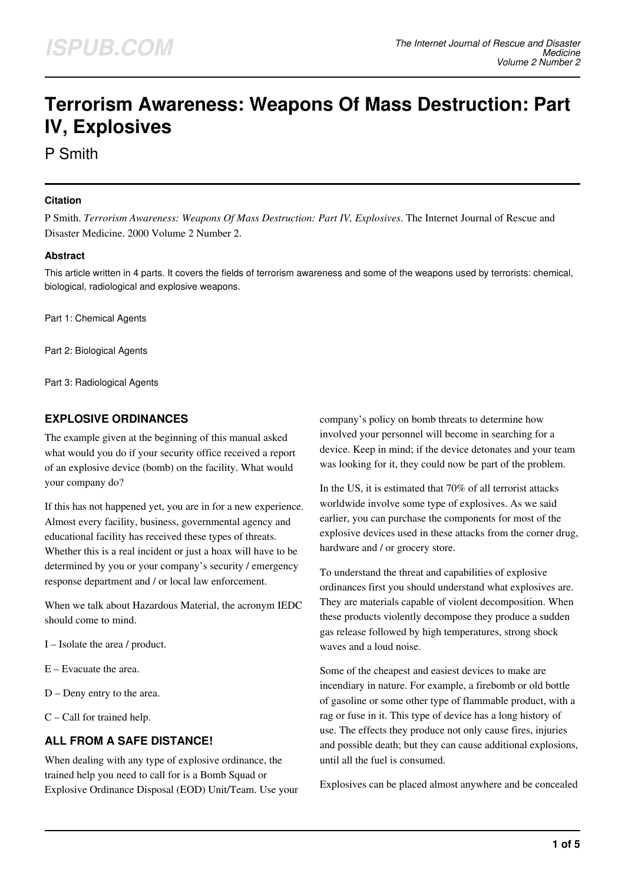# **Terrorism Awareness: Weapons Of Mass Destruction: Part IV, Explosives**

P Smith

#### **Citation**

P Smith. *Terrorism Awareness: Weapons Of Mass Destruction: Part IV, Explosives*. The Internet Journal of Rescue and Disaster Medicine. 2000 Volume 2 Number 2.

## **Abstract**

This article written in 4 parts. It covers the fields of terrorism awareness and some of the weapons used by terrorists: chemical, biological, radiological and explosive weapons.

Part 1: Chemical Agents

Part 2: Biological Agents

Part 3: Radiological Agents

# **EXPLOSIVE ORDINANCES**

The example given at the beginning of this manual asked what would you do if your security office received a report of an explosive device (bomb) on the facility. What would your company do?

If this has not happened yet, you are in for a new experience. Almost every facility, business, governmental agency and educational facility has received these types of threats. Whether this is a real incident or just a hoax will have to be determined by you or your company's security / emergency response department and / or local law enforcement.

When we talk about Hazardous Material, the acronym IEDC should come to mind.

I – Isolate the area / product.

- E Evacuate the area.
- D Deny entry to the area.
- C Call for trained help.

# **ALL FROM A SAFE DISTANCE!**

When dealing with any type of explosive ordinance, the trained help you need to call for is a Bomb Squad or Explosive Ordinance Disposal (EOD) Unit/Team. Use your company's policy on bomb threats to determine how involved your personnel will become in searching for a device. Keep in mind; if the device detonates and your team was looking for it, they could now be part of the problem.

In the US, it is estimated that 70% of all terrorist attacks worldwide involve some type of explosives. As we said earlier, you can purchase the components for most of the explosive devices used in these attacks from the corner drug, hardware and / or grocery store.

To understand the threat and capabilities of explosive ordinances first you should understand what explosives are. They are materials capable of violent decomposition. When these products violently decompose they produce a sudden gas release followed by high temperatures, strong shock waves and a loud noise.

Some of the cheapest and easiest devices to make are incendiary in nature. For example, a firebomb or old bottle of gasoline or some other type of flammable product, with a rag or fuse in it. This type of device has a long history of use. The effects they produce not only cause fires, injuries and possible death; but they can cause additional explosions, until all the fuel is consumed.

Explosives can be placed almost anywhere and be concealed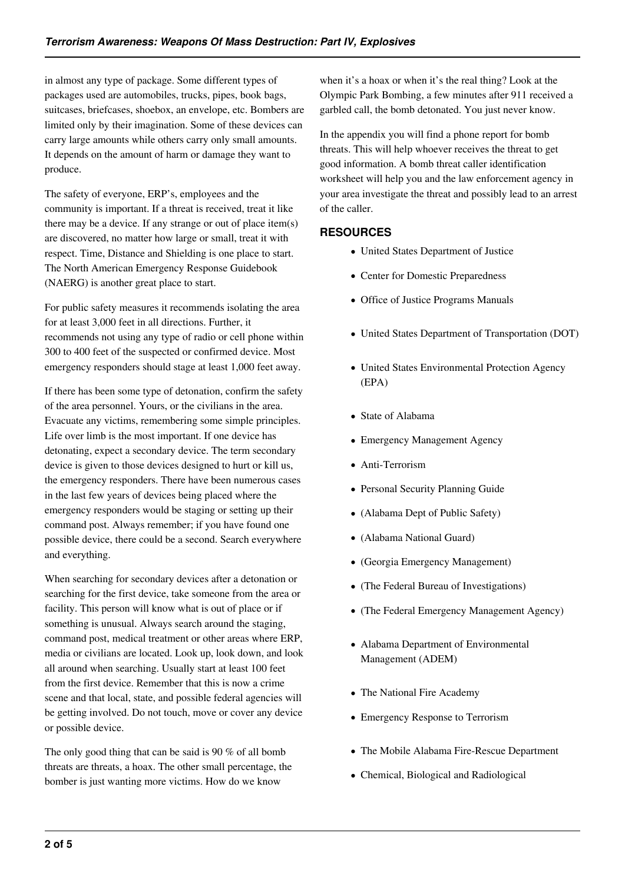in almost any type of package. Some different types of packages used are automobiles, trucks, pipes, book bags, suitcases, briefcases, shoebox, an envelope, etc. Bombers are limited only by their imagination. Some of these devices can carry large amounts while others carry only small amounts. It depends on the amount of harm or damage they want to produce.

The safety of everyone, ERP's, employees and the community is important. If a threat is received, treat it like there may be a device. If any strange or out of place item(s) are discovered, no matter how large or small, treat it with respect. Time, Distance and Shielding is one place to start. The North American Emergency Response Guidebook (NAERG) is another great place to start.

For public safety measures it recommends isolating the area for at least 3,000 feet in all directions. Further, it recommends not using any type of radio or cell phone within 300 to 400 feet of the suspected or confirmed device. Most emergency responders should stage at least 1,000 feet away.

If there has been some type of detonation, confirm the safety of the area personnel. Yours, or the civilians in the area. Evacuate any victims, remembering some simple principles. Life over limb is the most important. If one device has detonating, expect a secondary device. The term secondary device is given to those devices designed to hurt or kill us, the emergency responders. There have been numerous cases in the last few years of devices being placed where the emergency responders would be staging or setting up their command post. Always remember; if you have found one possible device, there could be a second. Search everywhere and everything.

When searching for secondary devices after a detonation or searching for the first device, take someone from the area or facility. This person will know what is out of place or if something is unusual. Always search around the staging, command post, medical treatment or other areas where ERP, media or civilians are located. Look up, look down, and look all around when searching. Usually start at least 100 feet from the first device. Remember that this is now a crime scene and that local, state, and possible federal agencies will be getting involved. Do not touch, move or cover any device or possible device.

The only good thing that can be said is 90 % of all bomb threats are threats, a hoax. The other small percentage, the bomber is just wanting more victims. How do we know

when it's a hoax or when it's the real thing? Look at the Olympic Park Bombing, a few minutes after 911 received a garbled call, the bomb detonated. You just never know.

In the appendix you will find a phone report for bomb threats. This will help whoever receives the threat to get good information. A bomb threat caller identification worksheet will help you and the law enforcement agency in your area investigate the threat and possibly lead to an arrest of the caller.

# **RESOURCES**

- United States Department of Justice
- Center for Domestic Preparedness
- Office of Justice Programs Manuals
- United States Department of Transportation (DOT)
- United States Environmental Protection Agency (EPA)
- State of Alabama
- Emergency Management Agency
- Anti-Terrorism
- Personal Security Planning Guide
- (Alabama Dept of Public Safety)
- (Alabama National Guard)
- (Georgia Emergency Management)
- (The Federal Bureau of Investigations)
- (The Federal Emergency Management Agency)
- Alabama Department of Environmental Management (ADEM)
- The National Fire Academy
- Emergency Response to Terrorism
- The Mobile Alabama Fire-Rescue Department
- Chemical, Biological and Radiological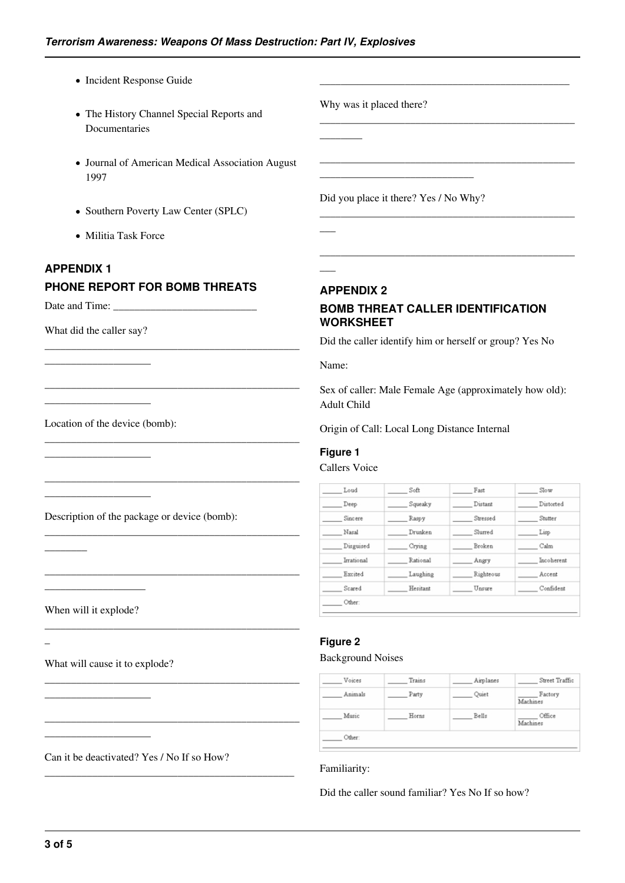- Incident Response Guide
- The History Channel Special Reports and Documentaries
- Journal of American Medical Association August 1997
- Southern Poverty Law Center (SPLC)
- Militia Task Force

#### **APPENDIX 1**

### **PHONE REPORT FOR BOMB THREATS**

\_\_\_\_\_\_\_\_\_\_\_\_\_\_\_\_\_\_\_\_\_\_\_\_\_\_\_\_\_\_\_\_\_\_\_\_\_\_\_\_\_\_\_\_\_\_\_\_

\_\_\_\_\_\_\_\_\_\_\_\_\_\_\_\_\_\_\_\_\_\_\_\_\_\_\_\_\_\_\_\_\_\_\_\_\_\_\_\_\_\_\_\_\_\_\_\_

\_\_\_\_\_\_\_\_\_\_\_\_\_\_\_\_\_\_\_\_\_\_\_\_\_\_\_\_\_\_\_\_\_\_\_\_\_\_\_\_\_\_\_\_\_\_\_\_

\_\_\_\_\_\_\_\_\_\_\_\_\_\_\_\_\_\_\_\_\_\_\_\_\_\_\_\_\_\_\_\_\_\_\_\_\_\_\_\_\_\_\_\_\_\_\_\_

\_\_\_\_\_\_\_\_\_\_\_\_\_\_\_\_\_\_\_\_\_\_\_\_\_\_\_\_\_\_\_\_\_\_\_\_\_\_\_\_\_\_\_\_\_\_\_\_

\_\_\_\_\_\_\_\_\_\_\_\_\_\_\_\_\_\_\_\_\_\_\_\_\_\_\_\_\_\_\_\_\_\_\_\_\_\_\_\_\_\_\_\_\_\_\_\_

\_\_\_\_\_\_\_\_\_\_\_\_\_\_\_\_\_\_\_\_\_\_\_\_\_\_\_\_\_\_\_\_\_\_\_\_\_\_\_\_\_\_\_\_\_\_\_\_

\_\_\_\_\_\_\_\_\_\_\_\_\_\_\_\_\_\_\_\_\_\_\_\_\_\_\_\_\_\_\_\_\_\_\_\_\_\_\_\_\_\_\_\_\_\_\_\_

\_\_\_\_\_\_\_\_\_\_\_\_\_\_\_\_\_\_\_\_\_\_\_\_\_\_\_\_\_\_\_\_\_\_\_\_\_\_\_\_\_\_\_\_\_\_\_\_

\_\_\_\_\_\_\_\_\_\_\_\_\_\_\_\_\_\_\_\_\_\_\_\_\_\_\_\_\_\_\_\_\_\_\_\_\_\_\_\_\_\_\_\_\_\_\_

Date and Time:

What did the caller say?

\_\_\_\_\_\_\_\_\_\_\_\_\_\_\_\_\_\_\_\_

\_\_\_\_\_\_\_\_\_\_\_\_\_\_\_\_\_\_\_\_

\_\_\_\_\_\_\_\_\_\_\_\_\_\_\_\_\_\_\_\_

\_\_\_\_\_\_\_\_\_\_\_\_\_\_\_\_\_\_\_\_

Location of the device (bomb):

Description of the package or device (bomb):

When will it explode?

\_\_\_\_\_\_\_\_\_\_\_\_\_\_\_\_\_\_\_

\_\_\_\_\_\_\_\_

 $\overline{\phantom{a}}$ 

What will cause it to explode?

\_\_\_\_\_\_\_\_\_\_\_\_\_\_\_\_\_\_\_\_

\_\_\_\_\_\_\_\_\_\_\_\_\_\_\_\_\_\_\_\_

Can it be deactivated? Yes / No If so How?

Why was it placed there?

 $\overline{\phantom{a}}$ 

 $\overline{\phantom{a}}$ 

 $\overline{\phantom{a}}$ 

Did you place it there? Yes / No Why?

\_\_\_\_\_\_\_\_\_\_\_\_\_\_\_\_\_\_\_\_\_\_\_\_\_\_\_\_\_

**APPENDIX 2**

## **BOMB THREAT CALLER IDENTIFICATION WORKSHEET**

\_\_\_\_\_\_\_\_\_\_\_\_\_\_\_\_\_\_\_\_\_\_\_\_\_\_\_\_\_\_\_\_\_\_\_\_\_\_\_\_\_\_\_\_\_\_\_

\_\_\_\_\_\_\_\_\_\_\_\_\_\_\_\_\_\_\_\_\_\_\_\_\_\_\_\_\_\_\_\_\_\_\_\_\_\_\_\_\_\_\_\_\_\_\_\_

\_\_\_\_\_\_\_\_\_\_\_\_\_\_\_\_\_\_\_\_\_\_\_\_\_\_\_\_\_\_\_\_\_\_\_\_\_\_\_\_\_\_\_\_\_\_\_\_

\_\_\_\_\_\_\_\_\_\_\_\_\_\_\_\_\_\_\_\_\_\_\_\_\_\_\_\_\_\_\_\_\_\_\_\_\_\_\_\_\_\_\_\_\_\_\_\_

\_\_\_\_\_\_\_\_\_\_\_\_\_\_\_\_\_\_\_\_\_\_\_\_\_\_\_\_\_\_\_\_\_\_\_\_\_\_\_\_\_\_\_\_\_\_\_\_

Did the caller identify him or herself or group? Yes No

Name:

Sex of caller: Male Female Age (approximately how old): Adult Child

Origin of Call: Local Long Distance Internal

#### **Figure 1**

Callers Voice

| Loud       | Soft     | Fast      | Slow       |
|------------|----------|-----------|------------|
| Deep       | Squeaky  | Distant   | Distorted  |
| Sincere    | Raspy    | Stressed  | Stutter    |
| Nasal      | Drunken  | Slurred   | Lisp       |
| Disguised  | Crying   | Broken    | Calm       |
| Irrational | Rational | Angry     | Incoherent |
| Excited    | Laughing | Righteous | Accent     |
| Scared     | Hesitant | Unsure    | Confident  |

#### **Figure 2**

#### Background Noises

| Voices  | Trains | Airplanes | Street Traffic      |  |
|---------|--------|-----------|---------------------|--|
| Animals | Party  | Quiet     | Factory<br>Machines |  |
| Music   | Horns  | Bells     | Office<br>Machines  |  |
| Other:  |        |           |                     |  |

#### Familiarity:

Did the caller sound familiar? Yes No If so how?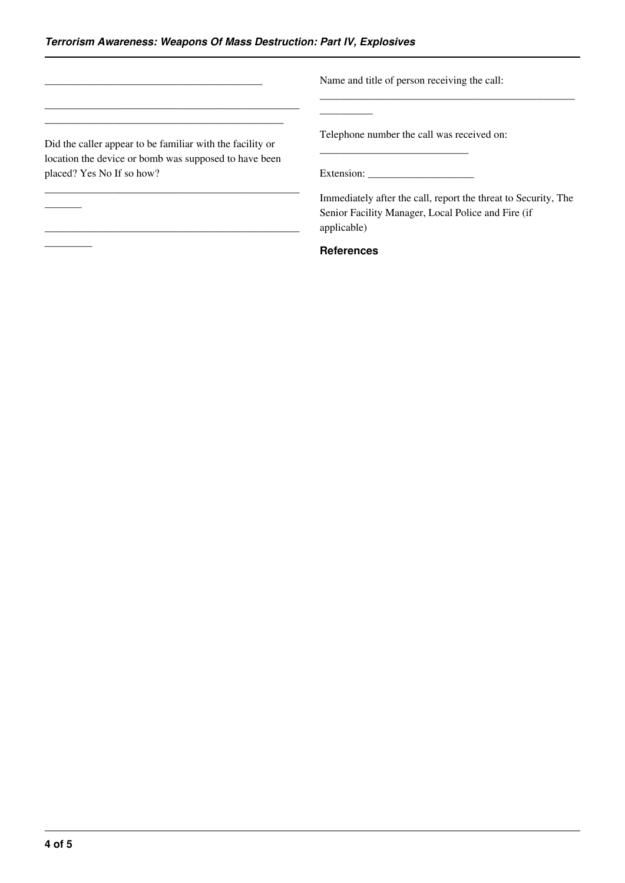|                                                                                                                    | Name and title of person receiving the call:                                                                                        |
|--------------------------------------------------------------------------------------------------------------------|-------------------------------------------------------------------------------------------------------------------------------------|
| Did the caller appear to be familiar with the facility or<br>location the device or bomb was supposed to have been | Telephone number the call was received on:                                                                                          |
| placed? Yes No If so how?                                                                                          | Extension:                                                                                                                          |
|                                                                                                                    | Immediately after the call, report the threat to Security, The<br>Senior Facility Manager, Local Police and Fire (if<br>applicable) |
|                                                                                                                    | <b>References</b>                                                                                                                   |